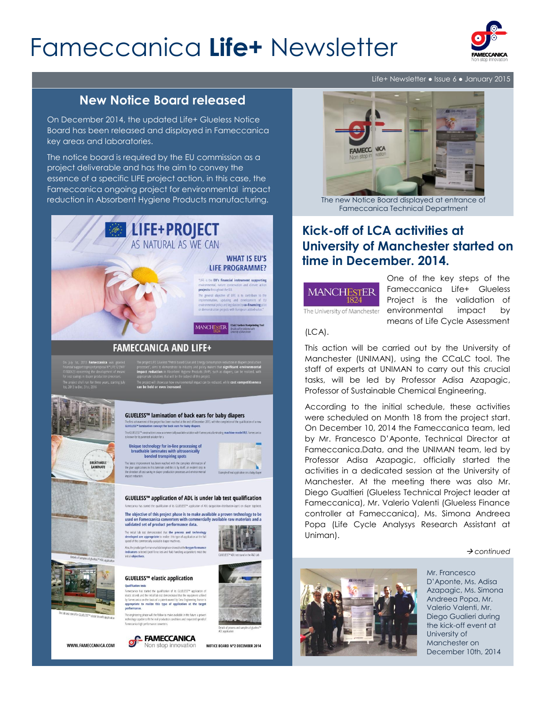# Fameccanica **Life+** Newsletter



## **New Notice Board released**

On December 2014, the updated Life+ Glueless Notice Board has been released and displayed in Fameccanica key areas and laboratories.

The notice board is required by the EU commission as a project deliverable and has the aim to convey the essence of a specific LIFE project action, in this case, the Fameccanica ongoing project for environmental impact reduction in Absorbent Hygiene Products manufacturing.



BREATHABLE<br>LAMINATE

The project will showcase it<br>can be held or even inc

#### GLUELESS™ lamination of back ears for baby diapers

The first achievement of the project has been reached at the end of Decem<br>**GLUELESS™ lamination concept for back ears for baby diapers**. .<br>This GLUELESS™ construction is now a r<br>s known for its patented solution for a

Unique technology for in-line processing of<br>breathable laminates with ultrasonically<br>bonded transpiring spots provement has been reached with the complete elimination<br>lications in this laminate and this is by itself, an evident step<br>of cost savine in diaper production processes and environmen

#### GLUELESS™ application of ADL is under lab test qualification

The objective of this project phase is to make available a proven technology to be sused on Fameccanica converters with commercially available raw materials and a<br>validated set of product performance data.

al lab test demonstrated that the process and technology<br>led are appropriate to realize this type of application at the full<br>the commercially available diaper machines.

cted (peel force test and fluid handling-acqu

### GLUELESS™ elastic application

**allification tests**<br>neccanica has started the qualification of its GLUELESS™ application<br>dic strands and the initial lab test demonstrated that the equinment util meccanica on the basis of a patent owned by Cera Engineering France is<br>opriate to realize this type of application at the target e engineering phase will the follow to make available in the future a pro<br>chnology capable to fit the real production conditions and requested speed



WWW.FAMECCANICA.COM



NOTICE BOARD N°2 DECEMBER 2014

Life+ Newsletter ● Issue 6 ● January 2015



The new Notice Board displayed at entrance of Fameccanica Technical Department

## **Kick-off of LCA activities at University of Manchester started on time in December. 2014.**



The University of Manchester

One of the key steps of the Fameccanica Life+ Glueless Project is the validation of environmental impact by means of Life Cycle Assessment

(LCA).

This action will be carried out by the University of Manchester (UNIMAN), using the CCaLC tool. The staff of experts at UNIMAN to carry out this crucial tasks, will be led by Professor Adisa Azapagic, Professor of Sustainable Chemical Engineering.

According to the initial schedule, these activities were scheduled on Month 18 from the project start. On December 10, 2014 the Fameccanica team, led by Mr. Francesco D'Aponte, Technical Director at Fameccanica.Data, and the UNIMAN team, led by Professor Adisa Azapagic, officially started the activities in a dedicated session at the University of Manchester. At the meeting there was also Mr. Diego Gualtieri (Glueless Technical Project leader at Fameccanica), Mr. Valerio Valenti (Glueless Finance controller at Fameccanica), Ms. Simona Andreea Popa (Life Cycle Analysys Research Assistant at Uniman).

*continued*



Mr. Francesco D'Aponte, Ms. Adisa Azapagic, Ms. Simona Andreea Popa, Mr. Valerio Valenti, Mr. Diego Gualieri during the kick-off event at University of Manchester on December 10th, 2014